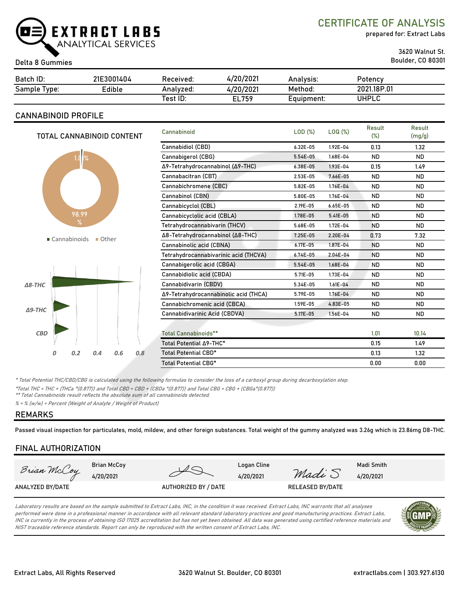

#### Boulder, CO 80301 Delta 8 Gummies

prepared for: Extract Labs

3620 Walnut St.

| Batch ID:    | 21E3001404 | Received: | 4/20/2021 | Analysis:  | Potency     |  |
|--------------|------------|-----------|-----------|------------|-------------|--|
| Sample Type: | Edible     | Analyzed: | 4/20/2021 | Method:    | 2021.18P.01 |  |
|              |            | Test ID:  | EL759     | Equipment: | UHPLC       |  |

### **CANNABINOID PROFILE**

| TOTAL CANNABINOID CONTENT     | Cannabinoid                           | LOD(%)       | LOQ (%)      | Result<br>$(\%)$ | Result<br>(mg/g) |
|-------------------------------|---------------------------------------|--------------|--------------|------------------|------------------|
|                               | Cannabidiol (CBD)                     | $6.32E - 05$ | 1.92E-04     | 0.13             | 1.32             |
| 1.01%                         | Cannabigerol (CBG)                    | 5.54E-05     | 1.68E-04     | <b>ND</b>        | <b>ND</b>        |
|                               | Δ9-Tetrahydrocannabinol (Δ9-THC)      | 6.38E-05     | $1.93E - 04$ | 0.15             | 1.49             |
|                               | Cannabacitran (CBT)                   | 2.53E-05     | 7.66E-05     | <b>ND</b>        | <b>ND</b>        |
|                               | Cannabichromene (CBC)                 | 5.82E-05     | 1.76E-04     | <b>ND</b>        | <b>ND</b>        |
|                               | Cannabinol (CBN)                      | 5.80E-05     | 1.76E-04     | <b>ND</b>        | <b>ND</b>        |
|                               | Cannabicyclol (CBL)                   | 2.19E-05     | $6.65E - 05$ | <b>ND</b>        | <b>ND</b>        |
| 98.99                         | Cannabicyclolic acid (CBLA)           | 1.78E-05     | $5.41E - 05$ | <b>ND</b>        | <b>ND</b>        |
| $\%$                          | Tetrahydrocannabivarin (THCV)         | 5.68E-05     | 1.72E-04     | <b>ND</b>        | <b>ND</b>        |
| ■ Cannabinoids<br>Other       | Δ8-Tetrahydrocannabinol (Δ8-THC)      | $7.25E - 05$ | $2.20E - 04$ | 0.73             | 7.32             |
|                               | Cannabinolic acid (CBNA)              | $6.17E - 05$ | 1.87E-04     | <b>ND</b>        | <b>ND</b>        |
|                               | Tetrahydrocannabivarinic acid (THCVA) | $6.74E - 05$ | 2.04E-04     | <b>ND</b>        | <b>ND</b>        |
|                               | Cannabigerolic acid (CBGA)            | 5.54E-05     | 1.68E-04     | <b>ND</b>        | <b>ND</b>        |
|                               | Cannabidiolic acid (CBDA)             | 5.71E-05     | 1.73E-04     | <b>ND</b>        | <b>ND</b>        |
| $\triangle$ 8-THC             | Cannabidivarin (CBDV)                 | 5.34E-05     | $1.61E - 04$ | <b>ND</b>        | <b>ND</b>        |
|                               | Δ9-Tetrahydrocannabinolic acid (THCA) | 5.79E-05     | 1.76E-04     | <b>ND</b>        | <b>ND</b>        |
| $\Delta$ 9-THC                | Cannabichromenic acid (CBCA)          | 1.59E-05     | 4.83E-05     | <b>ND</b>        | <b>ND</b>        |
|                               | Cannabidivarinic Acid (CBDVA)         | 5.17E-05     | 1.56E-04     | <b>ND</b>        | ND.              |
|                               |                                       |              |              |                  |                  |
| <b>CBD</b>                    | <b>Total Cannabinoids**</b>           |              |              | 1.01             | 10.14            |
|                               | Total Potential A9-THC*               |              |              | 0.15             | 1.49             |
| 0.6<br>0.2<br>0.4<br>0.8<br>0 | Total Potential CBD*                  |              |              | 0.13             | 1.32             |
|                               | Total Potential CBG*                  |              |              | 0.00             | 0.00             |

\* Total Potential THC/CBD/CBG is calculated using the following formulas to consider the loss of a carboxyl group during decarboxylation step.

\*Total THC = THC + (THCa \*(0.877)) and Total CBD = CBD + (CBDa \*(0.877)) and Total CBG = CBG + (CBGa\*(0.877))

\*\* Total Cannabinoids result reflects the absolute sum of all cannabinoids detected.

% = % (w/w) = Percent (Weight of Analyte / Weight of Product)

#### **REMARKS**

Passed visual inspection for particulates, mold, mildew, and other foreign substances. Total weight of the gummy analyzed was 3.26g which is 23.86mg D8-THC.

## **FINAL AUTHORIZATION**



Laboratory results are based on the sample submitted to Extract Labs, INC, in the condition it was received. Extract Labs, INC warrants that all analyses performed were done in a professional manner in accordance with all relevant standard laboratory practices and good manufacturing practices. Extract Labs, INC is currently in the process of obtaining ISO 17025 accreditation but has not yet been obtained. All data was generated using certified reference materials and NIST traceable reference standards. Report can only be reproduced with the written consent of Extract Labs, INC.

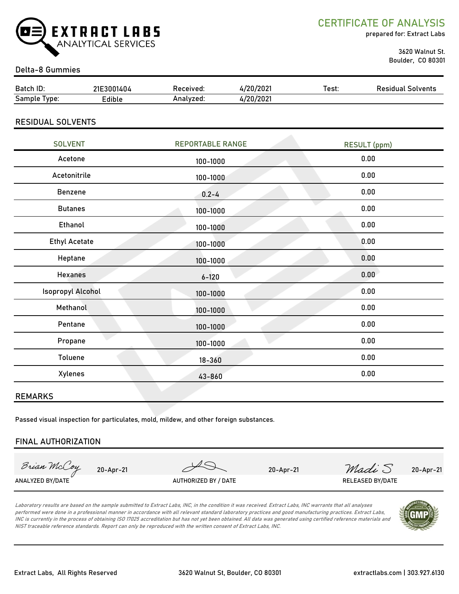

CERTIFICATE OF ANALYSIS

prepared for: Extract Labs

 3620 Walnut St. Boulder, CO 80301

#### Delta-8 Gummies

| Batch ID:                  | 21E3001404                       | Received:               | 4/20/2021 | Test: | <b>Residual Solvents</b> |  |
|----------------------------|----------------------------------|-------------------------|-----------|-------|--------------------------|--|
| Sample Type:               | Edible                           | Analyzed:               | 4/20/2021 |       |                          |  |
| <b>RESIDUAL SOLVENTS</b>   |                                  |                         |           |       |                          |  |
| <b>SOLVENT</b>             |                                  | <b>REPORTABLE RANGE</b> |           |       | <b>RESULT</b> (ppm)      |  |
| Acetone                    |                                  | 100-1000                |           | 0.00  |                          |  |
| Acetonitrile               |                                  | 100-1000                |           | 0.00  |                          |  |
| Benzene<br>$0.2 - 4$       |                                  | 0.00                    |           |       |                          |  |
| <b>Butanes</b><br>100-1000 |                                  |                         | 0.00      |       |                          |  |
| Ethanol<br>100-1000        |                                  | 0.00                    |           |       |                          |  |
|                            | <b>Ethyl Acetate</b><br>100-1000 |                         | 0.00      |       |                          |  |
|                            | Heptane<br>100-1000              |                         |           | 0.00  |                          |  |
|                            | <b>Hexanes</b><br>$6 - 120$      |                         | 0.00      |       |                          |  |
| <b>Isopropyl Alcohol</b>   |                                  | 100-1000                |           |       | 0.00                     |  |
| Methanol                   |                                  | 100-1000                |           | 0.00  |                          |  |

Passed visual inspection for particulates, mold, mildew, and other foreign substances.

#### **FINAL AUTHORIZATION**

Brian McCoy

**REMARKS**

Pentane 0.00

Propane 0.00

100-1000

100-1000

18-360

43-860

Toluene 0.00

Xylenes 0.00

20-Apr-21 20-Apr-21 *Madi* S 20-Apr-21

ANALYZED BY/DATE AUTHORIZED BY / DATE AUTHORIZED BY / DATE RELEASED BY/DATE

Laboratory results are based on the sample submitted to Extract Labs, INC, in the condition it was received. Extract Labs, INC warrants that all analyses performed were done in a professional manner in accordance with all relevant standard laboratory practices and good manufacturing practices. Extract Labs, INC is currently in the process of obtaining ISO 17025 accreditation but has not yet been obtained. All data was generated using certified reference materials and NIST traceable reference standards. Report can only be reproduced with the written consent of Extract Labs, INC.